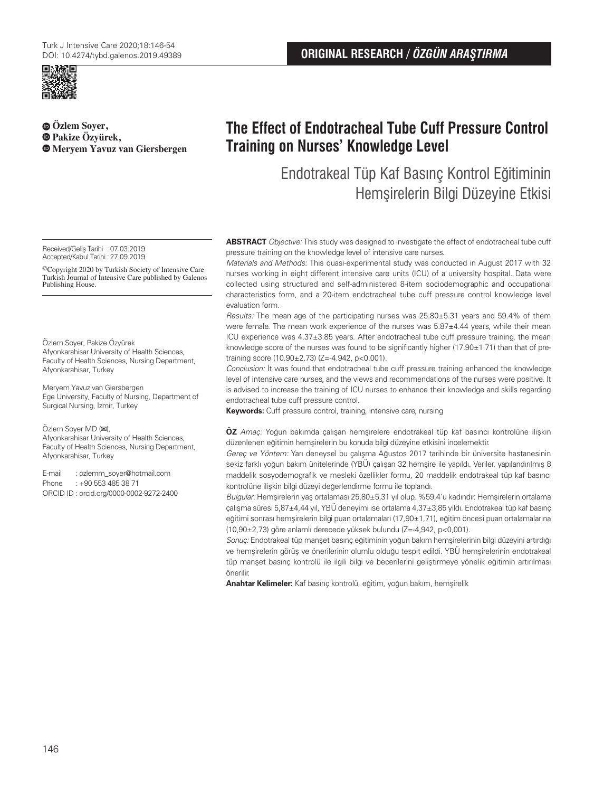

**Özlem Soyer, Pakize Özyürek, Meryem Yavuz van Giersbergen**

# **ORIGINAL RESEARCH /** *ÖZGÜN ARAŞTIRMA*

# **The Effect of Endotracheal Tube Cuff Pressure Control Training on Nurses' Knowledge Level**

Endotrakeal Tüp Kaf Basınç Kontrol Eğitiminin Hemşirelerin Bilgi Düzeyine Etkisi

Received/Geliş Tarihi :07.03.2019 Accepted/Kabul Tarihi :27.09.2019

©Copyright 2020 by Turkish Society of Intensive Care Turkish Journal of Intensive Care published by Galenos Publishing House.

### Özlem Soyer, Pakize Özyürek

Afyonkarahisar University of Health Sciences, Faculty of Health Sciences, Nursing Department, Afyonkarahisar, Turkey

Meryem Yavuz van Giersbergen Ege University, Faculty of Nursing, Department of Surgical Nursing, İzmir, Turkey

#### Özlem Soyer MD (**✉**),

Afyonkarahisar University of Health Sciences, Faculty of Health Sciences, Nursing Department, Afyonkarahisar, Turkey

E-mail : ozlemm\_soyer@hotmail.com Phone : +90 553 485 38 71 ORCID ID : orcid.org/0000-0002-9272-2400 **ABSTRACT** Objective: This study was designed to investigate the effect of endotracheal tube cuff pressure training on the knowledge level of intensive care nurses.

Materials and Methods: This quasi-experimental study was conducted in August 2017 with 32 nurses working in eight different intensive care units (ICU) of a university hospital. Data were collected using structured and self-administered 8-item sociodemographic and occupational characteristics form, and a 20-item endotracheal tube cuff pressure control knowledge level evaluation form.

Results: The mean age of the participating nurses was 25.80±5.31 years and 59.4% of them were female. The mean work experience of the nurses was  $5.87\pm4.44$  years, while their mean ICU experience was 4.37±3.85 years. After endotracheal tube cuff pressure training, the mean knowledge score of the nurses was found to be significantly higher (17.90±1.71) than that of pretraining score (10.90±2.73) (Z=-4.942, p<0.001).

Conclusion: It was found that endotracheal tube cuff pressure training enhanced the knowledge level of intensive care nurses, and the views and recommendations of the nurses were positive. It is advised to increase the training of ICU nurses to enhance their knowledge and skills regarding endotracheal tube cuff pressure control.

**Keywords:** Cuff pressure control, training, intensive care, nursing

**ÖZ** Amaç: Yoğun bakımda çalışan hemşirelere endotrakeal tüp kaf basıncı kontrolüne ilişkin düzenlenen eğitimin hemşirelerin bu konuda bilgi düzeyine etkisini incelemektir.

Gereç ve Yöntem: Yarı deneysel bu çalışma Ağustos 2017 tarihinde bir üniversite hastanesinin sekiz farklı yoğun bakım ünitelerinde (YBÜ) çalışan 32 hemşire ile yapıldı. Veriler, yapılandırılmış 8 maddelik sosyodemografik ve mesleki özellikler formu, 20 maddelik endotrakeal tüp kaf basıncı kontrolüne ilişkin bilgi düzeyi değerlendirme formu ile toplandı.

Bulgular: Hemşirelerin yaş ortalaması 25,80±5,31 yıl olup, %59,4'u kadındır. Hemşirelerin ortalama çalışma süresi 5,87±4,44 yıl, YBÜ deneyimi ise ortalama 4,37±3,85 yıldı. Endotrakeal tüp kaf basınç eğitimi sonrası hemşirelerin bilgi puan ortalamaları (17,90±1,71), eğitim öncesi puan ortalamalarına (10,90±2,73) göre anlamlı derecede yüksek bulundu (Z=-4,942, p<0,001).

Sonuç: Endotrakeal tüp manşet basınç eğitiminin yoğun bakım hemşirelerinin bilgi düzeyini artırdığı ve hemşirelerin görüş ve önerilerinin olumlu olduğu tespit edildi. YBÜ hemşirelerinin endotrakeal tüp manşet basınç kontrolü ile ilgili bilgi ve becerilerini geliştirmeye yönelik eğitimin artırılması önerilir.

**Anahtar Kelimeler:** Kaf basınç kontrolü, eğitim, yoğun bakım, hemşirelik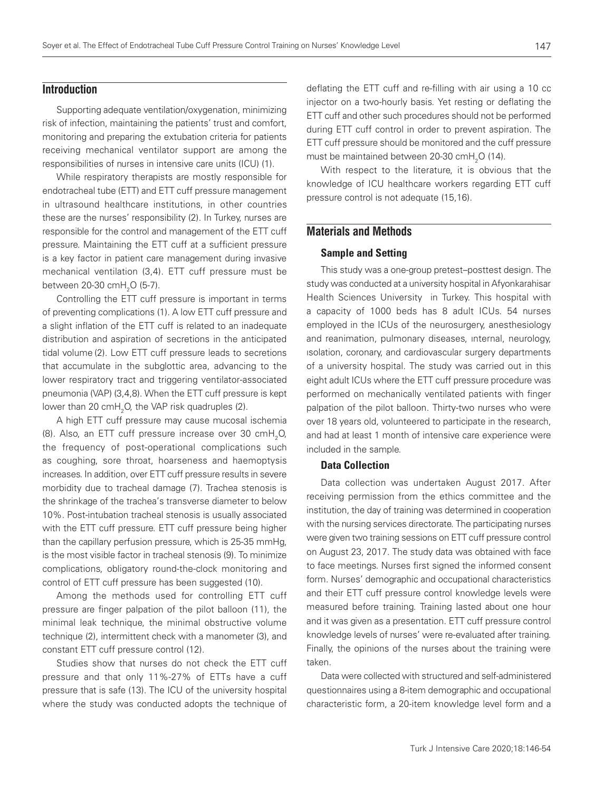# **Introduction**

Supporting adequate ventilation/oxygenation, minimizing risk of infection, maintaining the patients' trust and comfort, monitoring and preparing the extubation criteria for patients receiving mechanical ventilator support are among the responsibilities of nurses in intensive care units (ICU) (1).

While respiratory therapists are mostly responsible for endotracheal tube (ETT) and ETT cuff pressure management in ultrasound healthcare institutions, in other countries these are the nurses' responsibility (2). In Turkey, nurses are responsible for the control and management of the ETT cuff pressure. Maintaining the ETT cuff at a sufficient pressure is a key factor in patient care management during invasive mechanical ventilation (3,4). ETT cuff pressure must be between 20-30 cmH<sub>2</sub>O (5-7).

Controlling the ETT cuff pressure is important in terms of preventing complications (1). A low ETT cuff pressure and a slight inflation of the ETT cuff is related to an inadequate distribution and aspiration of secretions in the anticipated tidal volume (2). Low ETT cuff pressure leads to secretions that accumulate in the subglottic area, advancing to the lower respiratory tract and triggering ventilator-associated pneumonia (VAP) (3,4,8). When the ETT cuff pressure is kept lower than 20  $\text{cmH}_{\text{2}}\text{O}$ , the VAP risk quadruples (2).

A high ETT cuff pressure may cause mucosal ischemia (8). Also, an ETT cuff pressure increase over 30  $\text{cmH}_{2}$ O, the frequency of post-operational complications such as coughing, sore throat, hoarseness and haemoptysis increases. In addition, over ETT cuff pressure results in severe morbidity due to tracheal damage (7). Trachea stenosis is the shrinkage of the trachea's transverse diameter to below 10%. Post-intubation tracheal stenosis is usually associated with the ETT cuff pressure. ETT cuff pressure being higher than the capillary perfusion pressure, which is 25-35 mmHg, is the most visible factor in tracheal stenosis (9). To minimize complications, obligatory round-the-clock monitoring and control of ETT cuff pressure has been suggested (10).

Among the methods used for controlling ETT cuff pressure are finger palpation of the pilot balloon (11), the minimal leak technique, the minimal obstructive volume technique (2), intermittent check with a manometer (3), and constant ETT cuff pressure control (12).

Studies show that nurses do not check the ETT cuff pressure and that only 11%-27% of ETTs have a cuff pressure that is safe (13). The ICU of the university hospital where the study was conducted adopts the technique of deflating the ETT cuff and re-filling with air using a 10 cc injector on a two-hourly basis. Yet resting or deflating the ETT cuff and other such procedures should not be performed during ETT cuff control in order to prevent aspiration. The ETT cuff pressure should be monitored and the cuff pressure must be maintained between 20-30 cm $H<sub>2</sub>$ O (14).

With respect to the literature, it is obvious that the knowledge of ICU healthcare workers regarding ETT cuff pressure control is not adequate (15,16).

# **Materials and Methods**

### Sample and Setting

This study was a one-group pretest–posttest design. The study was conducted at a university hospital in Afyonkarahisar Health Sciences University in Turkey. This hospital with a capacity of 1000 beds has 8 adult ICUs. 54 nurses employed in the ICUs of the neurosurgery, anesthesiology and reanimation, pulmonary diseases, ınternal, neurology, ısolation, coronary, and cardiovascular surgery departments of a university hospital. The study was carried out in this eight adult ICUs where the ETT cuff pressure procedure was performed on mechanically ventilated patients with finger palpation of the pilot balloon. Thirty-two nurses who were over 18 years old, volunteered to participate in the research, and had at least 1 month of intensive care experience were included in the sample.

### Data Collection

Data collection was undertaken August 2017. After receiving permission from the ethics committee and the institution, the day of training was determined in cooperation with the nursing services directorate. The participating nurses were given two training sessions on ETT cuff pressure control on August 23, 2017. The study data was obtained with face to face meetings. Nurses first signed the informed consent form. Nurses' demographic and occupational characteristics and their ETT cuff pressure control knowledge levels were measured before training. Training lasted about one hour and it was given as a presentation. ETT cuff pressure control knowledge levels of nurses' were re-evaluated after training. Finally, the opinions of the nurses about the training were taken.

Data were collected with structured and self-administered questionnaires using a 8-item demographic and occupational characteristic form, a 20-item knowledge level form and a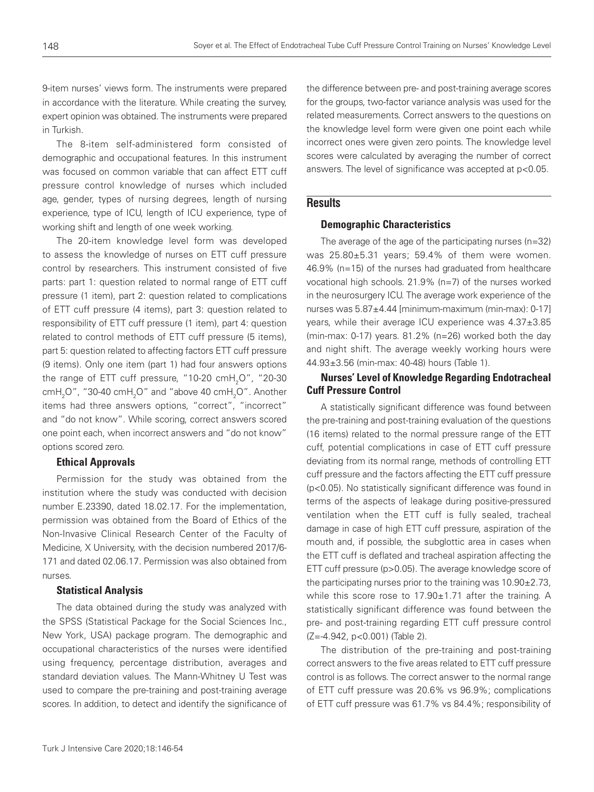9-item nurses' views form. The instruments were prepared in accordance with the literature. While creating the survey, expert opinion was obtained. The instruments were prepared in Turkish.

The 8-item self-administered form consisted of demographic and occupational features. In this instrument was focused on common variable that can affect ETT cuff pressure control knowledge of nurses which included age, gender, types of nursing degrees, length of nursing experience, type of ICU, length of ICU experience, type of working shift and length of one week working.

The 20-item knowledge level form was developed to assess the knowledge of nurses on ETT cuff pressure control by researchers. This instrument consisted of five parts: part 1: question related to normal range of ETT cuff pressure (1 item), part 2: question related to complications of ETT cuff pressure (4 items), part 3: question related to responsibility of ETT cuff pressure (1 item), part 4: question related to control methods of ETT cuff pressure (5 items), part 5: question related to affecting factors ETT cuff pressure (9 items). Only one item (part 1) had four answers options the range of ETT cuff pressure, "10-20  $\text{cmH}_{2}$ O", "20-30 cmH $_{2}$ O", "30-40 cmH $_{2}$ O" and "above 40 cmH $_{2}$ O". Another items had three answers options, "correct", "incorrect" and "do not know". While scoring, correct answers scored one point each, when incorrect answers and "do not know" options scored zero.

### Ethical Approvals

Permission for the study was obtained from the institution where the study was conducted with decision number E.23390, dated 18.02.17. For the implementation, permission was obtained from the Board of Ethics of the Non-Invasive Clinical Research Center of the Faculty of Medicine, X University, with the decision numbered 2017/6- 171 and dated 02.06.17. Permission was also obtained from nurses.

### Statistical Analysis

The data obtained during the study was analyzed with the SPSS (Statistical Package for the Social Sciences Inc., New York, USA) package program. The demographic and occupational characteristics of the nurses were identified using frequency, percentage distribution, averages and standard deviation values. The Mann-Whitney U Test was used to compare the pre-training and post-training average scores. In addition, to detect and identify the significance of the difference between pre- and post-training average scores for the groups, two-factor variance analysis was used for the related measurements. Correct answers to the questions on the knowledge level form were given one point each while incorrect ones were given zero points. The knowledge level scores were calculated by averaging the number of correct answers. The level of significance was accepted at p<0.05.

# **Results**

### Demographic Characteristics

The average of the age of the participating nurses (n=32) was 25.80±5.31 years; 59.4% of them were women. 46.9% (n=15) of the nurses had graduated from healthcare vocational high schools. 21.9% (n=7) of the nurses worked in the neurosurgery ICU. The average work experience of the nurses was 5.87±4.44 [minimum-maximum (min-max): 0-17] years, while their average ICU experience was 4.37±3.85 (min-max: 0-17) years. 81.2% (n=26) worked both the day and night shift. The average weekly working hours were 44.93±3.56 (min-max: 40-48) hours (Table 1).

## Nurses' Level of Knowledge Regarding Endotracheal Cuff Pressure Control

A statistically significant difference was found between the pre-training and post-training evaluation of the questions (16 items) related to the normal pressure range of the ETT cuff, potential complications in case of ETT cuff pressure deviating from its normal range, methods of controlling ETT cuff pressure and the factors affecting the ETT cuff pressure (p<0.05). No statistically significant difference was found in terms of the aspects of leakage during positive-pressured ventilation when the ETT cuff is fully sealed, tracheal damage in case of high ETT cuff pressure, aspiration of the mouth and, if possible, the subglottic area in cases when the ETT cuff is deflated and tracheal aspiration affecting the ETT cuff pressure (p>0.05). The average knowledge score of the participating nurses prior to the training was 10.90±2.73, while this score rose to 17.90±1.71 after the training. A statistically significant difference was found between the pre- and post-training regarding ETT cuff pressure control (Z=-4.942, p<0.001) (Table 2).

The distribution of the pre-training and post-training correct answers to the five areas related to ETT cuff pressure control is as follows. The correct answer to the normal range of ETT cuff pressure was 20.6% vs 96.9%; complications of ETT cuff pressure was 61.7% vs 84.4%; responsibility of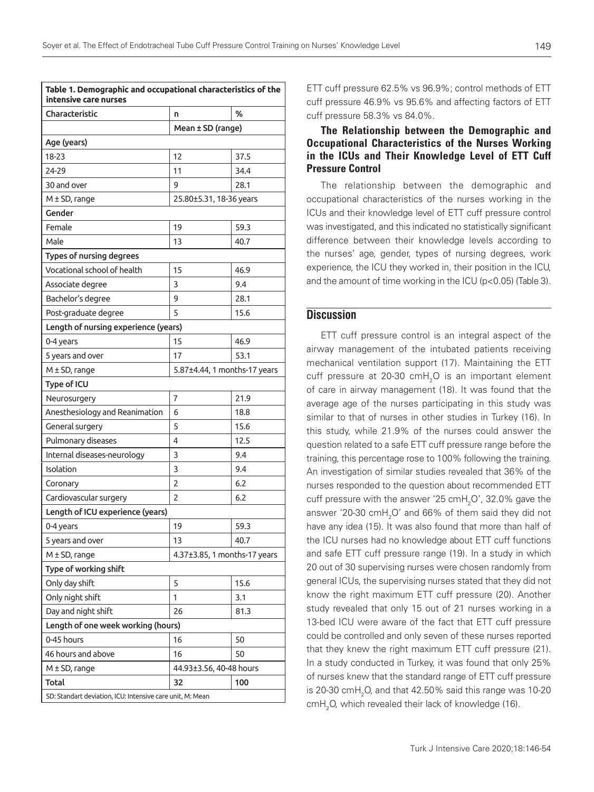| Characteristic                       | n                            | %                            |  |  |
|--------------------------------------|------------------------------|------------------------------|--|--|
|                                      | Mean ± SD (range)            |                              |  |  |
| Age (years)                          |                              |                              |  |  |
| 18-23                                | 12                           | 37.5                         |  |  |
| 24-29                                | 11                           | 34.4                         |  |  |
| 30 and over                          | 9                            | 28.1                         |  |  |
| $M \pm SD$ , range                   | 25.80±5.31, 18-36 years      |                              |  |  |
| Gender                               |                              |                              |  |  |
| Female                               | 19                           | 59.3                         |  |  |
| Male                                 | 13                           | 40.7                         |  |  |
| Types of nursing degrees             |                              |                              |  |  |
| Vocational school of health          | 15                           | 46.9                         |  |  |
| Associate degree                     | 3                            | 9.4                          |  |  |
| Bachelor's degree                    | 9                            | 28.1                         |  |  |
| Post-graduate degree                 | 5                            | 15.6                         |  |  |
| Length of nursing experience (years) |                              |                              |  |  |
| 0-4 years                            | 15                           | 46.9                         |  |  |
| 5 years and over                     | 17                           | 53.1                         |  |  |
| $M \pm SD$ , range                   |                              | 5.87±4.44, 1 months-17 years |  |  |
| Type of ICU                          |                              |                              |  |  |
| Neurosurgery                         | $\overline{7}$               | 21.9                         |  |  |
| Anesthesiology and Reanimation       | 6                            | 18.8                         |  |  |
| General surgery                      | 5                            | 15.6                         |  |  |
| Pulmonary diseases                   | 4                            | 12.5                         |  |  |
| Internal diseases-neurology          | 3                            | 9.4                          |  |  |
| Isolation                            | 3                            | 9.4                          |  |  |
| Coronary                             | 2                            | 6.2                          |  |  |
| Cardiovascular surgery               | $\overline{c}$               | 6.2                          |  |  |
| Length of ICU experience (years)     |                              |                              |  |  |
| 0-4 years                            | 19                           | 59.3                         |  |  |
| 5 years and over                     | 13                           | 40.7                         |  |  |
| $M \pm SD$ , range                   | 4.37±3.85, 1 months-17 years |                              |  |  |
| Type of working shift                |                              |                              |  |  |
| Only day shift                       | 5                            | 15.6                         |  |  |
| Only night shift                     | 1                            | 3.1                          |  |  |
| Day and night shift                  | 26                           | 81.3                         |  |  |
| Length of one week working (hours)   |                              |                              |  |  |
| 0-45 hours                           | 16                           | 50                           |  |  |
| 46 hours and above                   | 16                           | 50                           |  |  |
| $M \pm SD$ , range                   | 44.93±3.56, 40-48 hours      |                              |  |  |
| Total                                | 32                           | 100                          |  |  |

ETT cuff pressure 62.5% vs 96.9%; control methods of ETT cuff pressure 46.9% vs 95.6% and affecting factors of ETT cuff pressure 58.3% vs 84.0%.

# The Relationship between the Demographic and Occupational Characteristics of the Nurses Working in the ICUs and Their Knowledge Level of ETT Cuff Pressure Control

The relationship between the demographic and occupational characteristics of the nurses working in the ICUs and their knowledge level of ETT cuff pressure control was investigated, and this indicated no statistically significant difference between their knowledge levels according to the nurses' age, gender, types of nursing degrees, work experience, the ICU they worked in, their position in the ICU, and the amount of time working in the ICU (p<0.05) (Table 3).

# **Discussion**

ETT cuff pressure control is an integral aspect of the airway management of the intubated patients receiving mechanical ventilation support (17). Maintaining the ETT cuff pressure at 20-30 cmH<sub>2</sub>O is an important element of care in airway management (18). It was found that the average age of the nurses participating in this study was similar to that of nurses in other studies in Turkey (16). In this study, while 21.9% of the nurses could answer the question related to a safe ETT cuff pressure range before the training, this percentage rose to 100% following the training. An investigation of similar studies revealed that 36% of the nurses responded to the question about recommended ETT cuff pressure with the answer '25  $\text{cmH}_{2}$ O', 32.0% gave the answer '20-30  $\text{cmH}_{2}$ O' and 66% of them said they did not have any idea (15). It was also found that more than half of the ICU nurses had no knowledge about ETT cuff functions and safe ETT cuff pressure range (19). In a study in which 20 out of 30 supervising nurses were chosen randomly from general ICUs, the supervising nurses stated that they did not know the right maximum ETT cuff pressure (20). Another study revealed that only 15 out of 21 nurses working in a 13-bed ICU were aware of the fact that ETT cuff pressure could be controlled and only seven of these nurses reported that they knew the right maximum ETT cuff pressure (21). In a study conducted in Turkey, it was found that only 25% of nurses knew that the standard range of ETT cuff pressure is 20-30  $\text{cmH}_{2}$ O, and that 42.50% said this range was 10-20  $\text{cmH}_{2}$ O, which revealed their lack of knowledge (16).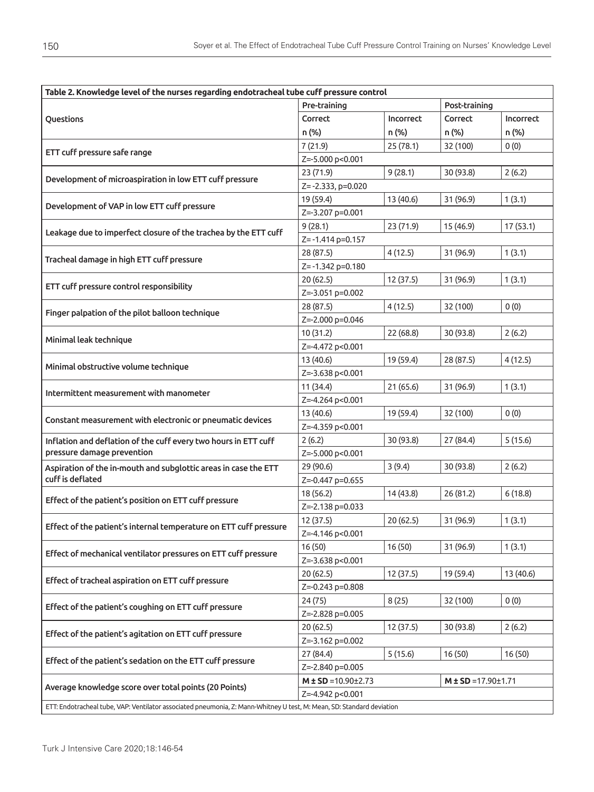| Table 2. Knowledge level of the nurses regarding endotracheal tube cuff pressure control                              |                               |           |           |                             |  |
|-----------------------------------------------------------------------------------------------------------------------|-------------------------------|-----------|-----------|-----------------------------|--|
|                                                                                                                       | Post-training<br>Pre-training |           |           |                             |  |
| Questions                                                                                                             | Correct                       | Incorrect | Correct   | <b>Incorrect</b>            |  |
|                                                                                                                       | n (%)                         | n (%)     | n (%)     | n (%)                       |  |
|                                                                                                                       | 7(21.9)                       | 25(78.1)  | 32 (100)  | 0(0)                        |  |
| ETT cuff pressure safe range                                                                                          | Z=-5.000 p<0.001              |           |           |                             |  |
| Development of microaspiration in low ETT cuff pressure                                                               | 23 (71.9)                     | 9(28.1)   | 30 (93.8) | 2(6.2)                      |  |
|                                                                                                                       | Z=-2.333, p=0.020             |           |           |                             |  |
| Development of VAP in low ETT cuff pressure                                                                           | 19 (59.4)                     | 13 (40.6) | 31 (96.9) | 1(3.1)                      |  |
|                                                                                                                       | Z=-3.207 p=0.001              |           |           |                             |  |
| Leakage due to imperfect closure of the trachea by the ETT cuff                                                       | 9(28.1)                       | 23 (71.9) | 15 (46.9) | 17 (53.1)                   |  |
|                                                                                                                       | Z=-1.414 p=0.157              |           |           |                             |  |
| Tracheal damage in high ETT cuff pressure                                                                             | 28 (87.5)                     | 4(12.5)   | 31 (96.9) | 1(3.1)                      |  |
|                                                                                                                       | Z=-1.342 p=0.180              |           |           |                             |  |
| ETT cuff pressure control responsibility                                                                              | 20(62.5)                      | 12 (37.5) | 31 (96.9) | 1(3.1)                      |  |
|                                                                                                                       | Z=-3.051 p=0.002              |           |           |                             |  |
| Finger palpation of the pilot balloon technique                                                                       | 28 (87.5)                     | 4(12.5)   | 32 (100)  | 0(0)                        |  |
|                                                                                                                       | Z=-2.000 p=0.046              |           |           |                             |  |
| Minimal leak technique                                                                                                | 10(31.2)                      | 22(68.8)  | 30 (93.8) | 2(6.2)                      |  |
|                                                                                                                       | Z=-4.472 p<0.001              |           |           |                             |  |
| Minimal obstructive volume technique                                                                                  | 13 (40.6)                     | 19 (59.4) | 28 (87.5) | 4(12.5)                     |  |
|                                                                                                                       | Z=-3.638 p<0.001              |           |           |                             |  |
| Intermittent measurement with manometer                                                                               | 11 (34.4)                     | 21(65.6)  | 31 (96.9) | 1(3.1)                      |  |
|                                                                                                                       | Z=-4.264 p<0.001              |           |           |                             |  |
| Constant measurement with electronic or pneumatic devices                                                             | 13 (40.6)                     | 19 (59.4) | 32 (100)  | 0(0)                        |  |
|                                                                                                                       | Z=-4.359 p<0.001              |           |           |                             |  |
| Inflation and deflation of the cuff every two hours in ETT cuff                                                       | 2(6.2)                        | 30 (93.8) | 27 (84.4) | 5(15.6)                     |  |
| pressure damage prevention                                                                                            | Z=-5.000 p<0.001              |           |           |                             |  |
| Aspiration of the in-mouth and subglottic areas in case the ETT<br>cuff is deflated                                   | 29 (90.6)                     | 3(9.4)    | 30 (93.8) | 2(6.2)                      |  |
|                                                                                                                       | Z=-0.447 p=0.655              |           |           |                             |  |
| Effect of the patient's position on ETT cuff pressure                                                                 | 18 (56.2)                     | 14 (43.8) | 26 (81.2) | 6(18.8)                     |  |
|                                                                                                                       | Z=-2.138 p=0.033              |           |           |                             |  |
| Effect of the patient's internal temperature on ETT cuff pressure                                                     | 12 (37.5)                     | 20(62.5)  | 31 (96.9) | 1(3.1)                      |  |
|                                                                                                                       | Z=-4.146 p<0.001              |           |           |                             |  |
| Effect of mechanical ventilator pressures on ETT cuff pressure                                                        | 16(50)<br>Z=-3.638 p<0.001    | 16(50)    | 31 (96.9) | 1(3.1)                      |  |
|                                                                                                                       | 20 (62.5)                     | 12 (37.5) | 19 (59.4) | 13 (40.6)                   |  |
| Effect of tracheal aspiration on ETT cuff pressure                                                                    | Z=-0.243 p=0.808              |           |           |                             |  |
|                                                                                                                       | 24 (75)                       | 8(25)     | 32 (100)  | 0(0)                        |  |
| Effect of the patient's coughing on ETT cuff pressure                                                                 | Z=-2.828 p=0.005              |           |           |                             |  |
|                                                                                                                       | 20(62.5)                      | 12 (37.5) | 30 (93.8) | 2(6.2)                      |  |
| Effect of the patient's agitation on ETT cuff pressure                                                                | Z=-3.162 p=0.002              |           |           |                             |  |
|                                                                                                                       | 27 (84.4)                     | 5(15.6)   | 16(50)    | 16(50)                      |  |
| Effect of the patient's sedation on the ETT cuff pressure                                                             | Z=-2.840 p=0.005              |           |           |                             |  |
|                                                                                                                       | $M \pm SD = 10.90 \pm 2.73$   |           |           |                             |  |
| Average knowledge score over total points (20 Points)                                                                 | Z=-4.942 p<0.001              |           |           | $M \pm SD = 17.90 \pm 1.71$ |  |
| ETT: Endotracheal tube, VAP: Ventilator associated pneumonia, Z: Mann-Whitney U test, M: Mean, SD: Standard deviation |                               |           |           |                             |  |
|                                                                                                                       |                               |           |           |                             |  |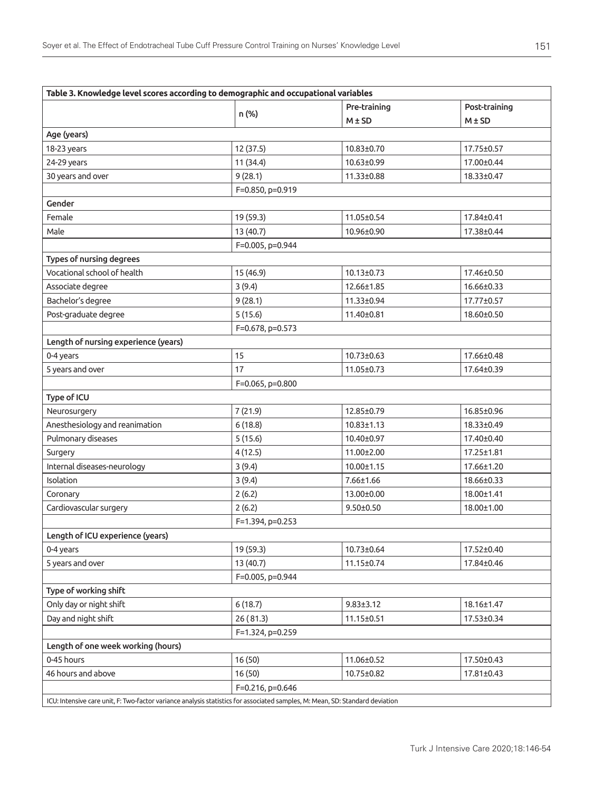| Table 3. Knowledge level scores according to demographic and occupational variables                                          |                  |                  |               |  |  |  |  |
|------------------------------------------------------------------------------------------------------------------------------|------------------|------------------|---------------|--|--|--|--|
| n (%)                                                                                                                        |                  | Pre-training     | Post-training |  |  |  |  |
|                                                                                                                              |                  | $M \pm SD$       | $M \pm SD$    |  |  |  |  |
| Age (years)                                                                                                                  |                  |                  |               |  |  |  |  |
| 18-23 years                                                                                                                  | 12 (37.5)        | 10.83±0.70       | 17.75±0.57    |  |  |  |  |
| 24-29 years                                                                                                                  | 11 (34.4)        | 10.63±0.99       | 17.00±0.44    |  |  |  |  |
| 30 years and over                                                                                                            | 9(28.1)          | 11.33±0.88       | 18.33±0.47    |  |  |  |  |
|                                                                                                                              | F=0.850, p=0.919 |                  |               |  |  |  |  |
| Gender                                                                                                                       |                  |                  |               |  |  |  |  |
| Female                                                                                                                       | 19 (59.3)        | 11.05±0.54       | 17.84±0.41    |  |  |  |  |
| Male                                                                                                                         | 13 (40.7)        | 10.96±0.90       | 17.38±0.44    |  |  |  |  |
|                                                                                                                              | F=0.005, p=0.944 |                  |               |  |  |  |  |
| Types of nursing degrees                                                                                                     |                  |                  |               |  |  |  |  |
| Vocational school of health                                                                                                  | 15 (46.9)        | $10.13 \pm 0.73$ | 17.46±0.50    |  |  |  |  |
| Associate degree                                                                                                             | 3(9.4)           | 12.66±1.85       | 16.66±0.33    |  |  |  |  |
| Bachelor's degree                                                                                                            | 9(28.1)          | 11.33±0.94       | 17.77±0.57    |  |  |  |  |
| Post-graduate degree                                                                                                         | 5(15.6)          | 11.40±0.81       | 18.60±0.50    |  |  |  |  |
|                                                                                                                              | F=0.678, p=0.573 |                  |               |  |  |  |  |
| Length of nursing experience (years)                                                                                         |                  |                  |               |  |  |  |  |
| 0-4 years                                                                                                                    | 15               | $10.73 \pm 0.63$ | 17.66±0.48    |  |  |  |  |
| 5 years and over                                                                                                             | 17               | 11.05±0.73       | 17.64±0.39    |  |  |  |  |
|                                                                                                                              | F=0.065, p=0.800 |                  |               |  |  |  |  |
| Type of ICU                                                                                                                  |                  |                  |               |  |  |  |  |
| Neurosurgery                                                                                                                 | 7(21.9)          | 12.85±0.79       | 16.85±0.96    |  |  |  |  |
| Anesthesiology and reanimation                                                                                               | 6(18.8)          | $10.83 \pm 1.13$ | 18.33±0.49    |  |  |  |  |
| Pulmonary diseases                                                                                                           | 5(15.6)          | 10.40±0.97       | 17.40±0.40    |  |  |  |  |
| Surgery                                                                                                                      | 4(12.5)          | 11.00±2.00       | 17.25±1.81    |  |  |  |  |
| Internal diseases-neurology                                                                                                  | 3(9.4)           | 10.00±1.15       | 17.66±1.20    |  |  |  |  |
| Isolation                                                                                                                    | 3(9.4)           | $7.66 \pm 1.66$  | 18.66±0.33    |  |  |  |  |
| Coronary                                                                                                                     | 2(6.2)           | 13.00±0.00       | 18.00±1.41    |  |  |  |  |
| Cardiovascular surgery                                                                                                       | 2(6.2)           | $9.50 \pm 0.50$  | 18.00±1.00    |  |  |  |  |
|                                                                                                                              | F=1.394, p=0.253 |                  |               |  |  |  |  |
| Length of ICU experience (years)                                                                                             |                  |                  |               |  |  |  |  |
| 0-4 years                                                                                                                    | 19 (59.3)        | 10.73±0.64       | 17.52±0.40    |  |  |  |  |
| 5 years and over                                                                                                             | 13 (40.7)        | 11.15±0.74       | 17.84±0.46    |  |  |  |  |
|                                                                                                                              | F=0.005, p=0.944 |                  |               |  |  |  |  |
| Type of working shift                                                                                                        |                  |                  |               |  |  |  |  |
| Only day or night shift                                                                                                      | 6(18.7)          | $9.83 \pm 3.12$  | 18.16±1.47    |  |  |  |  |
| Day and night shift                                                                                                          | 26 (81.3)        | 11.15±0.51       | 17.53±0.34    |  |  |  |  |
|                                                                                                                              | F=1.324, p=0.259 |                  |               |  |  |  |  |
| Length of one week working (hours)                                                                                           |                  |                  |               |  |  |  |  |
| 0-45 hours                                                                                                                   | 16(50)           | 11.06±0.52       | 17.50±0.43    |  |  |  |  |
| 46 hours and above                                                                                                           | 16(50)           | 10.75±0.82       | 17.81±0.43    |  |  |  |  |
| F=0.216, p=0.646                                                                                                             |                  |                  |               |  |  |  |  |
| ICU: Intensive care unit, F: Two-factor variance analysis statistics for associated samples, M: Mean, SD: Standard deviation |                  |                  |               |  |  |  |  |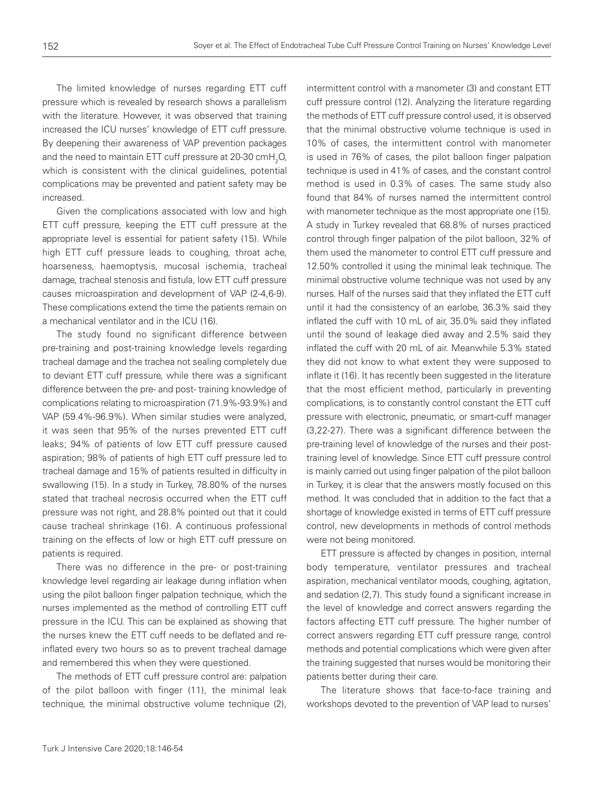The limited knowledge of nurses regarding ETT cuff pressure which is revealed by research shows a parallelism with the literature. However, it was observed that training increased the ICU nurses' knowledge of ETT cuff pressure. By deepening their awareness of VAP prevention packages and the need to maintain ETT cuff pressure at 20-30 cmH $_{\rm 2}$ O, which is consistent with the clinical quidelines, potential complications may be prevented and patient safety may be increased.

Given the complications associated with low and high ETT cuff pressure, keeping the ETT cuff pressure at the appropriate level is essential for patient safety (15). While high ETT cuff pressure leads to coughing, throat ache, hoarseness, haemoptysis, mucosal ischemia, tracheal damage, tracheal stenosis and fistula, low ETT cuff pressure causes microaspiration and development of VAP (2-4,6-9). These complications extend the time the patients remain on a mechanical ventilator and in the ICU (16).

The study found no significant difference between pre-training and post-training knowledge levels regarding tracheal damage and the trachea not sealing completely due to deviant ETT cuff pressure, while there was a significant difference between the pre- and post- training knowledge of complications relating to microaspiration (71.9%-93.9%) and VAP (59.4%-96.9%). When similar studies were analyzed, it was seen that 95% of the nurses prevented ETT cuff leaks; 94% of patients of low ETT cuff pressure caused aspiration; 98% of patients of high ETT cuff pressure led to tracheal damage and 15% of patients resulted in difficulty in swallowing (15). In a study in Turkey, 78.80% of the nurses stated that tracheal necrosis occurred when the ETT cuff pressure was not right, and 28.8% pointed out that it could cause tracheal shrinkage (16). A continuous professional training on the effects of low or high ETT cuff pressure on patients is required.

There was no difference in the pre- or post-training knowledge level regarding air leakage during inflation when using the pilot balloon finger palpation technique, which the nurses implemented as the method of controlling ETT cuff pressure in the ICU. This can be explained as showing that the nurses knew the ETT cuff needs to be deflated and reinflated every two hours so as to prevent tracheal damage and remembered this when they were questioned.

The methods of ETT cuff pressure control are: palpation of the pilot balloon with finger (11), the minimal leak technique, the minimal obstructive volume technique (2), intermittent control with a manometer (3) and constant ETT cuff pressure control (12). Analyzing the literature regarding the methods of ETT cuff pressure control used, it is observed that the minimal obstructive volume technique is used in 10% of cases, the intermittent control with manometer is used in 76% of cases, the pilot balloon finger palpation technique is used in 41% of cases, and the constant control method is used in 0.3% of cases. The same study also found that 84% of nurses named the intermittent control with manometer technique as the most appropriate one (15). A study in Turkey revealed that 68.8% of nurses practiced control through finger palpation of the pilot balloon, 32% of them used the manometer to control ETT cuff pressure and 12.50% controlled it using the minimal leak technique. The minimal obstructive volume technique was not used by any nurses. Half of the nurses said that they inflated the ETT cuff until it had the consistency of an earlobe, 36.3% said they inflated the cuff with 10 mL of air, 35.0% said they inflated until the sound of leakage died away and 2.5% said they inflated the cuff with 20 mL of air. Meanwhile 5.3% stated they did not know to what extent they were supposed to inflate it (16). It has recently been suggested in the literature that the most efficient method, particularly in preventing complications, is to constantly control constant the ETT cuff pressure with electronic, pneumatic, or smart-cuff manager (3,22-27). There was a significant difference between the pre-training level of knowledge of the nurses and their posttraining level of knowledge. Since ETT cuff pressure control is mainly carried out using finger palpation of the pilot balloon in Turkey, it is clear that the answers mostly focused on this method. It was concluded that in addition to the fact that a shortage of knowledge existed in terms of ETT cuff pressure control, new developments in methods of control methods were not being monitored.

ETT pressure is affected by changes in position, internal body temperature, ventilator pressures and tracheal aspiration, mechanical ventilator moods, coughing, agitation, and sedation (2,7). This study found a significant increase in the level of knowledge and correct answers regarding the factors affecting ETT cuff pressure. The higher number of correct answers regarding ETT cuff pressure range, control methods and potential complications which were given after the training suggested that nurses would be monitoring their patients better during their care.

The literature shows that face-to-face training and workshops devoted to the prevention of VAP lead to nurses'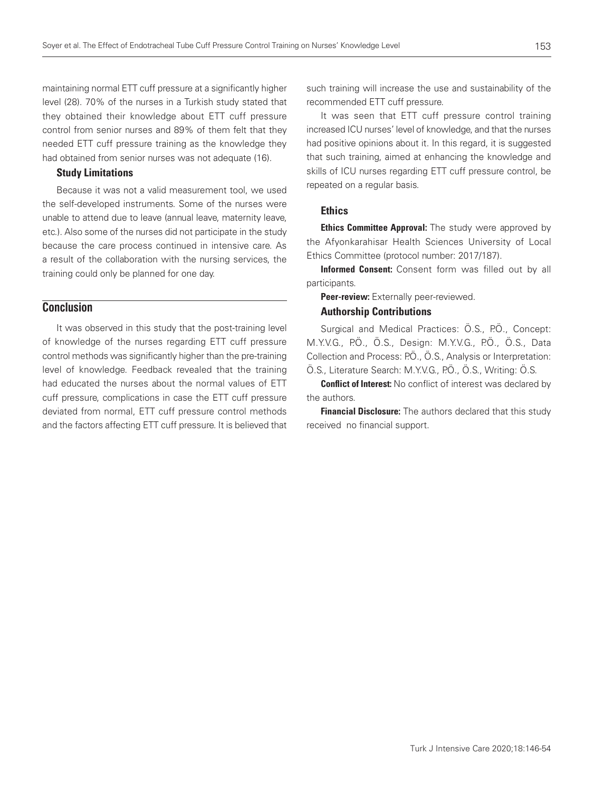maintaining normal ETT cuff pressure at a significantly higher level (28). 70% of the nurses in a Turkish study stated that they obtained their knowledge about ETT cuff pressure control from senior nurses and 89% of them felt that they needed ETT cuff pressure training as the knowledge they had obtained from senior nurses was not adequate (16).

### Study Limitations

Because it was not a valid measurement tool, we used the self-developed instruments. Some of the nurses were unable to attend due to leave (annual leave, maternity leave, etc.). Also some of the nurses did not participate in the study because the care process continued in intensive care. As a result of the collaboration with the nursing services, the training could only be planned for one day.

# **Conclusion**

It was observed in this study that the post-training level of knowledge of the nurses regarding ETT cuff pressure control methods was significantly higher than the pre-training level of knowledge. Feedback revealed that the training had educated the nurses about the normal values of ETT cuff pressure, complications in case the ETT cuff pressure deviated from normal, ETT cuff pressure control methods and the factors affecting ETT cuff pressure. It is believed that such training will increase the use and sustainability of the recommended ETT cuff pressure.

It was seen that ETT cuff pressure control training increased ICU nurses' level of knowledge, and that the nurses had positive opinions about it. In this regard, it is suggested that such training, aimed at enhancing the knowledge and skills of ICU nurses regarding ETT cuff pressure control, be repeated on a regular basis.

### **Ethics**

**Ethics Committee Approval:** The study were approved by the Afyonkarahisar Health Sciences University of Local Ethics Committee (protocol number: 2017/187).

Informed Consent: Consent form was filled out by all participants.

Peer-review: Externally peer-reviewed.

### Authorship Contributions

Surgical and Medical Practices: Ö.S., P.Ö., Concept: M.Y.V.G., P.Ö., Ö.S., Design: M.Y.V.G., P.Ö., Ö.S., Data Collection and Process: P.Ö., Ö.S., Analysis or Interpretation: Ö.S., Literature Search: M.Y.V.G., PÖ., Ö.S., Writing: Ö.S.

**Conflict of Interest:** No conflict of interest was declared by the authors.

**Financial Disclosure:** The authors declared that this study received no financial support.